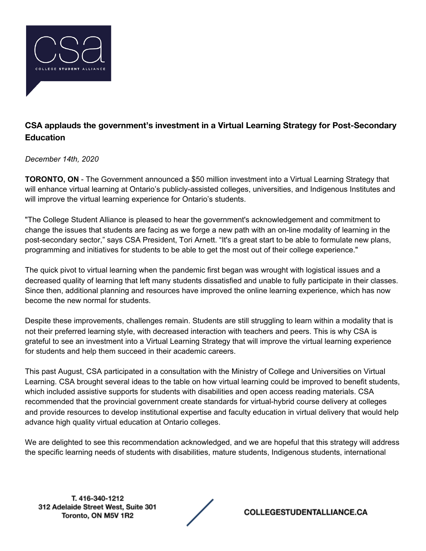

## **CSA applauds the government's investment in a Virtual Learning Strategy for Post-Secondary Education**

*December 14th, 2020*

**TORONTO, ON** - The Government announced a \$50 million investment into a Virtual Learning Strategy that will enhance virtual learning at Ontario's publicly-assisted colleges, universities, and Indigenous Institutes and will improve the virtual learning experience for Ontario's students.

"The College Student Alliance is pleased to hear the government's acknowledgement and commitment to change the issues that students are facing as we forge a new path with an on-line modality of learning in the post-secondary sector," says CSA President, Tori Arnett. "It's a great start to be able to formulate new plans, programming and initiatives for students to be able to get the most out of their college experience."

The quick pivot to virtual learning when the pandemic first began was wrought with logistical issues and a decreased quality of learning that left many students dissatisfied and unable to fully participate in their classes. Since then, additional planning and resources have improved the online learning experience, which has now become the new normal for students.

Despite these improvements, challenges remain. Students are still struggling to learn within a modality that is not their preferred learning style, with decreased interaction with teachers and peers. This is why CSA is grateful to see an investment into a Virtual Learning Strategy that will improve the virtual learning experience for students and help them succeed in their academic careers.

This past August, CSA participated in a consultation with the Ministry of College and Universities on Virtual Learning. CSA brought several ideas to the table on how virtual learning could be improved to benefit students, which included assistive supports for students with disabilities and open access reading materials. CSA recommended that the provincial government create standards for virtual-hybrid course delivery at colleges and provide resources to develop institutional expertise and faculty education in virtual delivery that would help advance high quality virtual education at Ontario colleges.

We are delighted to see this recommendation acknowledged, and we are hopeful that this strategy will address the specific learning needs of students with disabilities, mature students, Indigenous students, international

T. 416-340-1212 312 Adelaide Street West, Suite 301 Toronto, ON M5V 1R2

**COLLEGESTUDENTALLIANCE.CA**